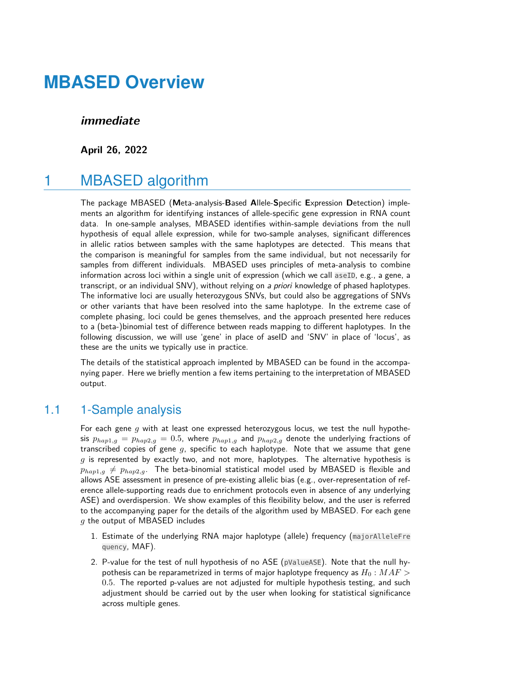### **immediate**

**April 26, 2022**

# 1 MBASED algorithm

The package MBASED (**M**eta-analysis-**B**ased **A**llele-**S**pecific **E**xpression **D**etection) implements an algorithm for identifying instances of allele-specific gene expression in RNA count data. In one-sample analyses, MBASED identifies within-sample deviations from the null hypothesis of equal allele expression, while for two-sample analyses, significant differences in allelic ratios between samples with the same haplotypes are detected. This means that the comparison is meaningful for samples from the same individual, but not necessarily for samples from different individuals. MBASED uses principles of meta-analysis to combine information across loci within a single unit of expression (which we call aseID, e.g., a gene, a transcript, or an individual SNV), without relying on a priori knowledge of phased haplotypes. The informative loci are usually heterozygous SNVs, but could also be aggregations of SNVs or other variants that have been resolved into the same haplotype. In the extreme case of complete phasing, loci could be genes themselves, and the approach presented here reduces to a (beta-)binomial test of difference between reads mapping to different haplotypes. In the following discussion, we will use 'gene' in place of aseID and 'SNV' in place of 'locus', as these are the units we typically use in practice.

The details of the statistical approach implented by MBASED can be found in the accompanying paper. Here we briefly mention a few items pertaining to the interpretation of MBASED output.

### 1.1 1-Sample analysis

For each gene  $g$  with at least one expressed heterozygous locus, we test the null hypothesis  $p_{hap1,g} = p_{hap2,g} = 0.5$ , where  $p_{hap1,g}$  and  $p_{hap2,g}$  denote the underlying fractions of transcribed copies of gene  $q$ , specific to each haplotype. Note that we assume that gene  $g$  is represented by exactly two, and not more, haplotypes. The alternative hypothesis is  $p_{han1,q} \neq p_{han2,q}$ . The beta-binomial statistical model used by MBASED is flexible and allows ASE assessment in presence of pre-existing allelic bias (e.g., over-representation of reference allele-supporting reads due to enrichment protocols even in absence of any underlying ASE) and overdispersion. We show examples of this flexibility below, and the user is referred to the accompanying paper for the details of the algorithm used by MBASED. For each gene  $g$  the output of MBASED includes

- 1. Estimate of the underlying RNA major haplotype (allele) frequency (majorAlleleFre quency, MAF).
- 2. P-value for the test of null hypothesis of no ASE (pValueASE). Note that the null hypothesis can be reparametrized in terms of major haplotype frequency as  $H_0$  :  $MAF$ 0.5. The reported p-values are not adjusted for multiple hypothesis testing, and such adjustment should be carried out by the user when looking for statistical significance across multiple genes.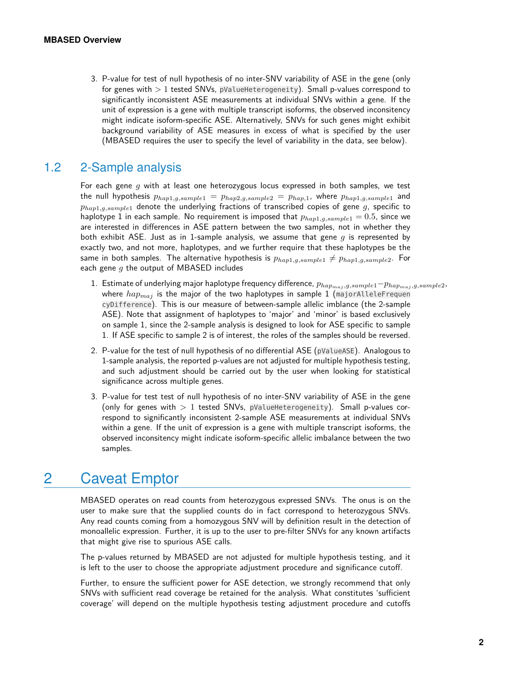3. P-value for test of null hypothesis of no inter-SNV variability of ASE in the gene (only for genes with  $> 1$  tested SNVs, pValueHeterogeneity). Small p-values correspond to significantly inconsistent ASE measurements at individual SNVs within a gene. If the unit of expression is a gene with multiple transcript isoforms, the observed inconsitency might indicate isoform-specific ASE. Alternatively, SNVs for such genes might exhibit background variability of ASE measures in excess of what is specified by the user (MBASED requires the user to specify the level of variability in the data, see below).

### 1.2 2-Sample analysis

<span id="page-1-0"></span>For each gene q with at least one heterozygous locus expressed in both samples, we test the null hypothesis  $p_{hap1,g, sample1} = p_{hap2,g, sample2} = p_{hap1,1}$ , where  $p_{hap1,g, sample1}$  and  $p_{map1,q,sample1}$  denote the underlying fractions of transcribed copies of gene g, specific to haplotype 1 in each sample. No requirement is imposed that  $p_{hap1,q,sample1} = 0.5$ , since we are interested in differences in ASE pattern between the two samples, not in whether they both exhibit ASE. Just as in 1-sample analysis, we assume that gene  $g$  is represented by exactly two, and not more, haplotypes, and we further require that these haplotypes be the same in both samples. The alternative hypothesis is  $p_{hap1,g,sample1} \neq p_{hap1,g,sample2}$ . For each gene  $g$  the output of MBASED includes

- 1. Estimate of underlying major haplotype frequency difference,  $p_{hap_{maj},g, sample1}-p_{hap_{maj},g, sample2}$ , where  $hap_{maj}$  is the major of the two haplotypes in sample 1 (majorAlleleFrequen cyDifference). This is our measure of between-sample allelic imblance (the 2-sample ASE). Note that assignment of haplotypes to 'major' and 'minor' is based exclusively on sample 1, since the 2-sample analysis is designed to look for ASE specific to sample 1. If ASE specific to sample 2 is of interest, the roles of the samples should be reversed.
- 2. P-value for the test of null hypothesis of no differential ASE (pValueASE). Analogous to 1-sample analysis, the reported p-values are not adjusted for multiple hypothesis testing, and such adjustment should be carried out by the user when looking for statistical significance across multiple genes.
- 3. P-value for test test of null hypothesis of no inter-SNV variability of ASE in the gene (only for genes with  $> 1$  tested SNVs, pValueHeterogeneity). Small p-values correspond to significantly inconsistent 2-sample ASE measurements at individual SNVs within a gene. If the unit of expression is a gene with multiple transcript isoforms, the observed inconsitency might indicate isoform-specific allelic imbalance between the two samples.

# 2 Caveat Emptor

MBASED operates on read counts from heterozygous expressed SNVs. The onus is on the user to make sure that the supplied counts do in fact correspond to heterozygous SNVs. Any read counts coming from a homozygous SNV will by definition result in the detection of monoallelic expression. Further, it is up to the user to pre-filter SNVs for any known artifacts that might give rise to spurious ASE calls.

The p-values returned by MBASED are not adjusted for multiple hypothesis testing, and it is left to the user to choose the appropriate adjustment procedure and significance cutoff.

Further, to ensure the sufficient power for ASE detection, we strongly recommend that only SNVs with sufficient read coverage be retained for the analysis. What constitutes 'sufficient coverage' will depend on the multiple hypothesis testing adjustment procedure and cutoffs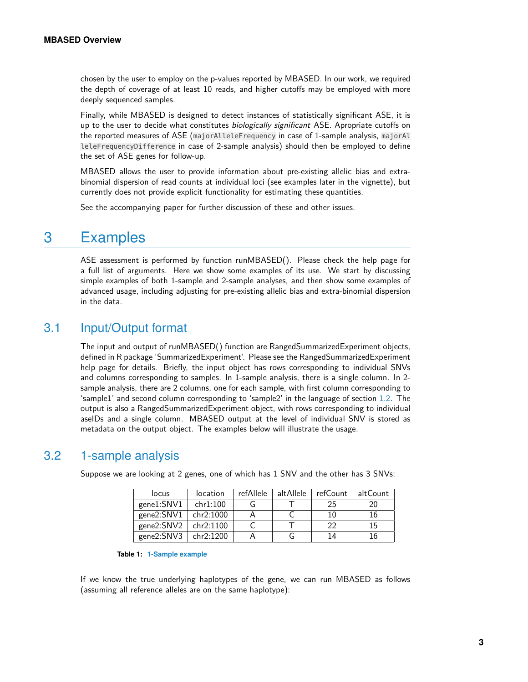chosen by the user to employ on the p-values reported by MBASED. In our work, we required the depth of coverage of at least 10 reads, and higher cutoffs may be employed with more deeply sequenced samples.

Finally, while MBASED is designed to detect instances of statistically significant ASE, it is up to the user to decide what constitutes *biologically significant* ASE. Apropriate cutoffs on the reported measures of ASE (majorAlleleFrequency in case of 1-sample analysis, majorAl leleFrequencyDifference in case of 2-sample analysis) should then be employed to define the set of ASE genes for follow-up.

MBASED allows the user to provide information about pre-existing allelic bias and extrabinomial dispersion of read counts at individual loci (see examples later in the vignette), but currently does not provide explicit functionality for estimating these quantities.

See the accompanying paper for further discussion of these and other issues.

# 3 Examples

ASE assessment is performed by function runMBASED(). Please check the help page for a full list of arguments. Here we show some examples of its use. We start by discussing simple examples of both 1-sample and 2-sample analyses, and then show some examples of advanced usage, including adjusting for pre-existing allelic bias and extra-binomial dispersion in the data.

# 3.1 Input/Output format

The input and output of runMBASED() function are RangedSummarizedExperiment objects, defined in R package 'SummarizedExperiment'. Please see the RangedSummarizedExperiment help page for details. Briefly, the input object has rows corresponding to individual SNVs and columns corresponding to samples. In 1-sample analysis, there is a single column. In 2 sample analysis, there are 2 columns, one for each sample, with first column corresponding to 'sample1' and second column corresponding to 'sample2' in the language of section [1.2.](#page-1-0) The output is also a RangedSummarizedExperiment object, with rows corresponding to individual aseIDs and a single column. MBASED output at the level of individual SNV is stored as metadata on the output object. The examples below will illustrate the usage.

# 3.2 1-sample analysis

| locus                      | location | refAllele | altAllele | refCount | altCount |
|----------------------------|----------|-----------|-----------|----------|----------|
| gene1:SNV1                 | chr1:100 |           |           | 25       | 20       |
| gene $2:SNV1$ chr $2:1000$ |          |           |           | 10       | 16       |
| gene2: $SNV2$ chr2:1100    |          |           |           | つつ       | 15       |
| gene2:SNV3   chr2:1200     |          |           |           | 14       | 16       |

Suppose we are looking at 2 genes, one of which has 1 SNV and the other has 3 SNVs:

#### **Table 1: 1-Sample example**

If we know the true underlying haplotypes of the gene, we can run MBASED as follows (assuming all reference alleles are on the same haplotype):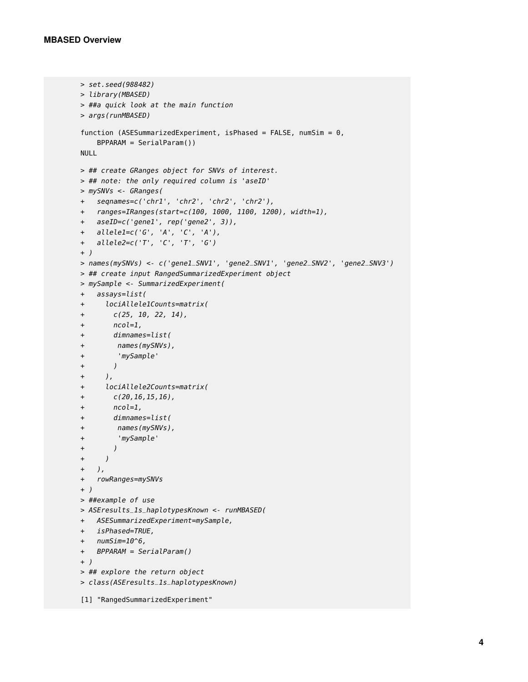```
> set.seed(988482)
> library(MBASED)
> ##a quick look at the main function
> args(runMBASED)
function (ASESummarizedExperiment, isPhased = FALSE, numSim = 0,
   BPPARAM = SerialParam())
NULL
> ## create GRanges object for SNVs of interest.
> ## note: the only required column is 'aseID'
> mySNVs <- GRanges(
+ seqnames=c('chr1', 'chr2', 'chr2', 'chr2'),
+ ranges=IRanges(start=c(100, 1000, 1100, 1200), width=1),
+ aseID=c('gene1', rep('gene2', 3)),
+ allele1=c('G', 'A', 'C', 'A'),
+ allele2=c('T', 'C', 'T', 'G')
+ )
> names(mySNVs) <- c('gene1_SNV1', 'gene2_SNV1', 'gene2_SNV2', 'gene2_SNV3')
> ## create input RangedSummarizedExperiment object
> mySample <- SummarizedExperiment(
+ assays=list(
+ lociAllele1Counts=matrix(
+ c(25, 10, 22, 14),
+ ncol=1,
+ dimnames=list(
+ names(mySNVs),
+ 'mySample'
+ )
+ ),
+ lociAllele2Counts=matrix(
+ c(20,16,15,16),
+ ncol=1,
+ dimnames=list(
+ names(mySNVs),
+ 'mySample'
+ )
+ )
+ ),
+ rowRanges=mySNVs
+ )
> ##example of use
> ASEresults_1s_haplotypesKnown <- runMBASED(
+ ASESummarizedExperiment=mySample,
+ isPhased=TRUE,
+ numSim=10^6,
+ BPPARAM = SerialParam()
+ )
> ## explore the return object
> class(ASEresults_1s_haplotypesKnown)
[1] "RangedSummarizedExperiment"
```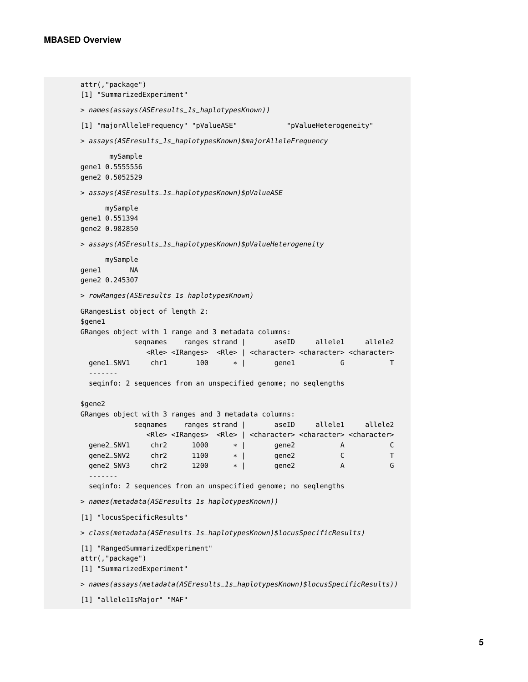```
attr(,"package")
[1] "SummarizedExperiment"
> names(assays(ASEresults_1s_haplotypesKnown))
[1] "majorAlleleFrequency" "pValueASE" "pValueHeterogeneity"
> assays(ASEresults_1s_haplotypesKnown)$majorAlleleFrequency
      mySample
gene1 0.5555556
gene2 0.5052529
> assays(ASEresults_1s_haplotypesKnown)$pValueASE
     mySample
gene1 0.551394
gene2 0.982850
> assays(ASEresults_1s_haplotypesKnown)$pValueHeterogeneity
     mySample
gene1 NA
gene2 0.245307
> rowRanges(ASEresults_1s_haplotypesKnown)
GRangesList object of length 2:
$gene1
GRanges object with 1 range and 3 metadata columns:
           seqnames ranges strand | aseID allele1 allele2
              <Rle> <IRanges> <Rle> | <character> <character> <character>
 gene1_SNV1 chr1 100 * | gene1 G T
  -------
 seqinfo: 2 sequences from an unspecified genome; no seqlengths
$gene2
GRanges object with 3 ranges and 3 metadata columns:
           seqnames ranges strand | aseID allele1 allele2
             <Rle> <IRanges> <Rle> | <character> <character> <character>
 gene2_SNV1 chr2 1000 * | gene2 A C
 gene2_SNV2 chr2 1100 * | gene2 C
 gene2_SNV3 chr2 1200 * | gene2 A G
  -------
 seqinfo: 2 sequences from an unspecified genome; no seqlengths
> names(metadata(ASEresults_1s_haplotypesKnown))
[1] "locusSpecificResults"
> class(metadata(ASEresults_1s_haplotypesKnown)$locusSpecificResults)
[1] "RangedSummarizedExperiment"
attr(,"package")
[1] "SummarizedExperiment"
> names(assays(metadata(ASEresults_1s_haplotypesKnown)$locusSpecificResults))
[1] "allele1IsMajor" "MAF"
```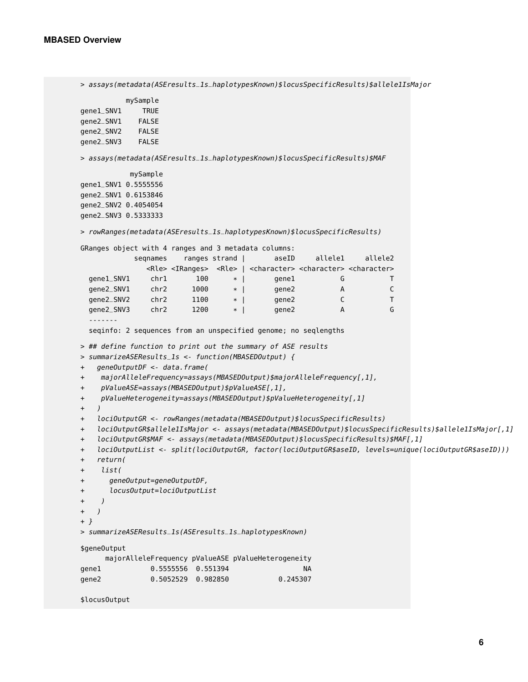```
> assays(metadata(ASEresults_1s_haplotypesKnown)$locusSpecificResults)$allele1IsMajor
         mySample
gene1_SNV1 TRUE
gene2_SNV1 FALSE
gene2_SNV2 FALSE
gene2_SNV3 FALSE
> assays(metadata(ASEresults_1s_haplotypesKnown)$locusSpecificResults)$MAF
          mySample
gene1_SNV1 0.5555556
gene2_SNV1 0.6153846
gene2_SNV2 0.4054054
gene2_SNV3 0.5333333
> rowRanges(metadata(ASEresults_1s_haplotypesKnown)$locusSpecificResults)
GRanges object with 4 ranges and 3 metadata columns:
           seqnames ranges strand | aseID allele1 allele2
              <Rle> <IRanges> <Rle> | <character> <character> <character>
  gene1_SNV1 chr1 100 * | gene1 G T
 gene2_SNV1 chr2 1000 * | gene2 A C
 gene2_SNV2 chr2 1100 * | gene2 C T
 gene2_SNV3 chr2 1200 * | gene2 A G
  -------
 seqinfo: 2 sequences from an unspecified genome; no seqlengths
> ## define function to print out the summary of ASE results
> summarizeASEResults_1s <- function(MBASEDOutput) {
+ geneOutputDF <- data.frame(
+ majorAlleleFrequency=assays(MBASEDOutput)$majorAlleleFrequency[,1],
+ pValueASE=assays(MBASEDOutput)$pValueASE[,1],
+ pValueHeterogeneity=assays(MBASEDOutput)$pValueHeterogeneity[,1]
+ )
+ lociOutputGR <- rowRanges(metadata(MBASEDOutput)$locusSpecificResults)
+ lociOutputGR$allele1IsMajor <- assays(metadata(MBASEDOutput)$locusSpecificResults)$allele1IsMajor[,1]
+ lociOutputGR$MAF <- assays(metadata(MBASEDOutput)$locusSpecificResults)$MAF[,1]
+ lociOutputList <- split(lociOutputGR, factor(lociOutputGR$aseID, levels=unique(lociOutputGR$aseID)))
+ return(
+ list(
+ geneOutput=geneOutputDF,
+ locusOutput=lociOutputList
+ )
+ )
+ }
> summarizeASEResults_1s(ASEresults_1s_haplotypesKnown)
$geneOutput
     majorAlleleFrequency pValueASE pValueHeterogeneity
gene1 0.5555556 0.551394 NA
gene2 0.5052529 0.982850 0.245307
```

```
$locusOutput
```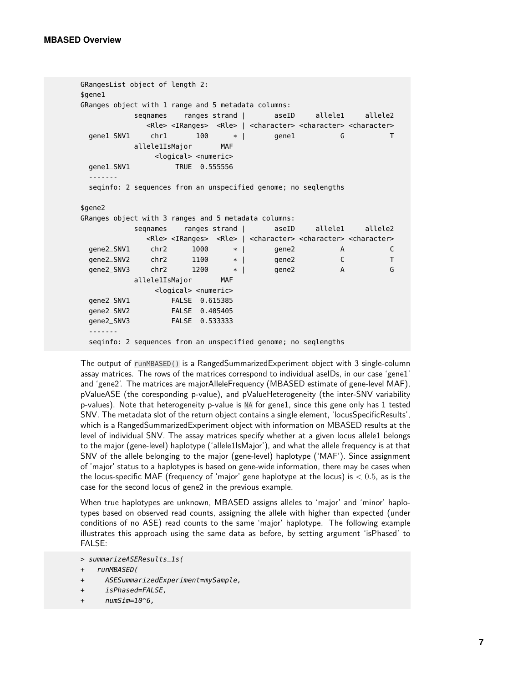```
GRangesList object of length 2:
$gene1
GRanges object with 1 range and 5 metadata columns:
          segnames ranges strand | aseID allele1 allele2
            <Rle> <IRanges> <Rle> | <character> <character> <character>
 gene1_SNV1 chr1 100 * | gene1 G T
          allele1IsMajor MAF
             <logical> <numeric>
 gene1_SNV1 TRUE 0.555556
  -------
 seqinfo: 2 sequences from an unspecified genome; no seqlengths
$gene2
GRanges object with 3 ranges and 5 metadata columns:
          seqnames ranges strand | aseID allele1 allele2
            <Rle> <IRanges> <Rle> | <character> <character> <character>
 gene2_SNV1 chr2 1000 * | gene2 A C
 gene2_SNV2 chr2 1100 * | gene2 C T
 gene2_SNV3 chr2 1200 * | gene2 A G
          allele1IsMajor MAF
             <logical> <numeric>
 gene2_SNV1 FALSE 0.615385
 gene2_SNV2 FALSE 0.405405
 gene2_SNV3 FALSE 0.533333
 -------
 seqinfo: 2 sequences from an unspecified genome; no seqlengths
```
The output of runMBASED() is a RangedSummarizedExperiment object with 3 single-column assay matrices. The rows of the matrices correspond to individual aseIDs, in our case 'gene1' and 'gene2'. The matrices are majorAlleleFrequency (MBASED estimate of gene-level MAF), pValueASE (the coresponding p-value), and pValueHeterogeneity (the inter-SNV variability p-values). Note that heterogeneity p-value is NA for gene1, since this gene only has 1 tested SNV. The metadata slot of the return object contains a single element, 'locusSpecificResults', which is a RangedSummarizedExperiment object with information on MBASED results at the level of individual SNV. The assay matrices specify whether at a given locus allele1 belongs to the major (gene-level) haplotype ('allele1IsMajor'), and what the allele frequency is at that SNV of the allele belonging to the major (gene-level) haplotype ('MAF'). Since assignment of 'major' status to a haplotypes is based on gene-wide information, there may be cases when the locus-specific MAF (frequency of 'major' gene haplotype at the locus) is  $< 0.5$ , as is the case for the second locus of gene2 in the previous example.

When true haplotypes are unknown, MBASED assigns alleles to 'major' and 'minor' haplotypes based on observed read counts, assigning the allele with higher than expected (under conditions of no ASE) read counts to the same 'major' haplotype. The following example illustrates this approach using the same data as before, by setting argument 'isPhased' to FALSE:

- + isPhased=FALSE,
- +  $numSim=10^6$ ,

<sup>&</sup>gt; summarizeASEResults\_1s(

<sup>+</sup> runMBASED(

<sup>+</sup> ASESummarizedExperiment=mySample,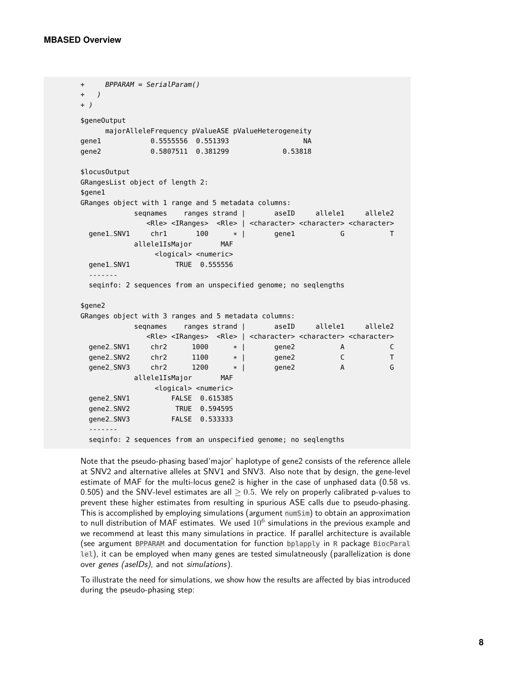```
+ BPPARAM = SerialParam()
+ )
+ )
$geneOutput
    majorAlleleFrequency pValueASE pValueHeterogeneity
gene1 0.5555556 0.551393 NA
gene2 0.5807511 0.381299 0.53818
$locusOutput
GRangesList object of length 2:
$gene1
GRanges object with 1 range and 5 metadata columns:
          seqnames ranges strand | aseID allele1 allele2
            <Rle> <IRanges> <Rle> | <character> <character> <character>
 gene1_SNV1 chr1 100 * | gene1 G T
         allele1IsMajor MAF
             <logical> <numeric>
 gene1_SNV1 TRUE 0.555556
 -------
 seqinfo: 2 sequences from an unspecified genome; no seqlengths
$gene2
GRanges object with 3 ranges and 5 metadata columns:
          seqnames ranges strand | aseID allele1 allele2
            <Rle> <IRanges> <Rle> | <character> <character> <character>
 gene2_SNV1 chr2 1000 * | gene2 A C
 gene2_SNV2 chr2 1100 * | gene2 C T
 gene2_SNV3 chr2 1200 * | gene2 A G
         allele1IsMajor MAF
             <logical> <numeric>
 gene2_SNV1 FALSE 0.615385
 gene2_SNV2 TRUE 0.594595
 gene2_SNV3 FALSE 0.533333
 -------
 seqinfo: 2 sequences from an unspecified genome; no seqlengths
```
Note that the pseudo-phasing based'major' haplotype of gene2 consists of the reference allele at SNV2 and alternative alleles at SNV1 and SNV3. Also note that by design, the gene-level estimate of MAF for the multi-locus gene2 is higher in the case of unphased data (0.58 vs. 0.505) and the SNV-level estimates are all  $\geq$  0.5. We rely on properly calibrated p-values to prevent these higher estimates from resulting in spurious ASE calls due to pseudo-phasing. This is accomplished by employing simulations (argument numSim) to obtain an approximation to null distribution of MAF estimates. We used  $10^6$  simulations in the previous example and we recommend at least this many simulations in practice. If parallel architecture is available (see argument BPPARAM and documentation for function bplapply in R package BiocParal lel), it can be employed when many genes are tested simulatneously (parallelization is done over genes (aselDs), and not simulations).

To illustrate the need for simulations, we show how the results are affected by bias introduced during the pseudo-phasing step: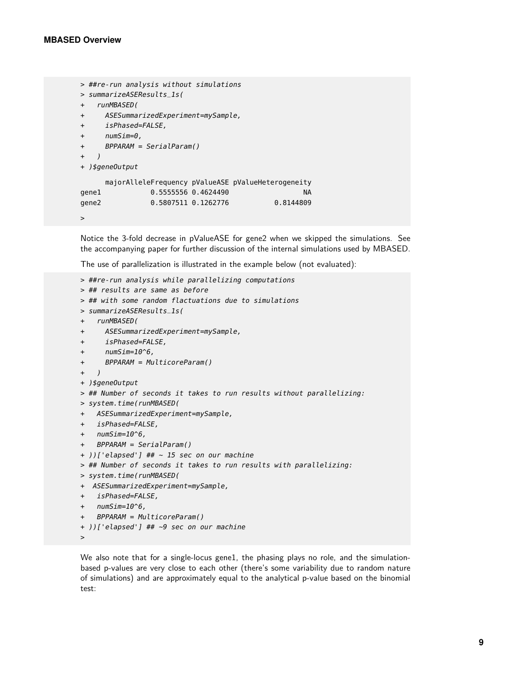```
> ##re-run analysis without simulations
> summarizeASEResults_1s(
+ runMBASED(
+ ASESummarizedExperiment=mySample,
+ isPhased=FALSE,
+ numSim=0,
+ BPPARAM = SerialParam()
+ )
+ )$geneOutput
     majorAlleleFrequency pValueASE pValueHeterogeneity
gene1 0.5555556 0.4624490 NA
gene2   0.5807511  0.1262776   0.8144809
>
```
Notice the 3-fold decrease in pValueASE for gene2 when we skipped the simulations. See the accompanying paper for further discussion of the internal simulations used by MBASED.

The use of parallelization is illustrated in the example below (not evaluated):

```
> ##re-run analysis while parallelizing computations
> ## results are same as before
> ## with some random flactuations due to simulations
> summarizeASEResults_1s(
+ runMBASED(
+ ASESummarizedExperiment=mySample,
+ isPhased=FALSE,
+ numSim=10^6,
+ BPPARAM = MulticoreParam()
+ )
+ )$geneOutput
> ## Number of seconds it takes to run results without parallelizing:
> system.time(runMBASED(
+ ASESummarizedExperiment=mySample,
+ isPhased=FALSE,
+ numSim=10^6,
+ BPPARAM = SerialParam()
+ ))['elapsed'] ## ~ 15 sec on our machine
> ## Number of seconds it takes to run results with parallelizing:
> system.time(runMBASED(
+ ASESummarizedExperiment=mySample,
+ isPhased=FALSE,
+ numSim=10^6,
+ BPPARAM = MulticoreParam()
+ ))['elapsed'] ## ~9 sec on our machine
>
```
We also note that for a single-locus gene1, the phasing plays no role, and the simulationbased p-values are very close to each other (there's some variability due to random nature of simulations) and are approximately equal to the analytical p-value based on the binomial test: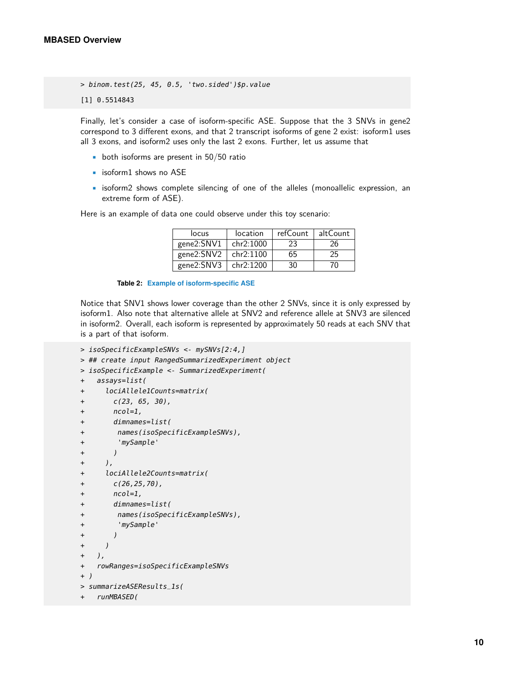> binom.test(25, 45, 0.5, 'two.sided')\$p.value

[1] 0.5514843

Finally, let's consider a case of isoform-specific ASE. Suppose that the 3 SNVs in gene2 correspond to 3 different exons, and that 2 transcript isoforms of gene 2 exist: isoform1 uses all 3 exons, and isoform2 uses only the last 2 exons. Further, let us assume that

- $\bullet$  both isoforms are present in 50/50 ratio
- isoform1 shows no ASE
- isoform2 shows complete silencing of one of the alleles (monoallelic expression, an extreme form of ASE).

Here is an example of data one could observe under this toy scenario:

| locus      | location  | refCount | altCount |
|------------|-----------|----------|----------|
| gene2:SNV1 | chr2:1000 | 23       | 26       |
| gene2:SNV2 | chr2:1100 | 65       | 25       |
| gene2:SNV3 | chr2:1200 | 30       | 7Ω       |

**Table 2: Example of isoform-specific ASE**

Notice that SNV1 shows lower coverage than the other 2 SNVs, since it is only expressed by isoform1. Also note that alternative allele at SNV2 and reference allele at SNV3 are silenced in isoform2. Overall, each isoform is represented by approximately 50 reads at each SNV that is a part of that isoform.

```
> isoSpecificExampleSNVs <- mySNVs[2:4,]
> ## create input RangedSummarizedExperiment object
> isoSpecificExample <- SummarizedExperiment(
+ assays=list(
+ lociAllele1Counts=matrix(
+ c(23, 65, 30),
+ ncol=1,
+ dimnames=list(
+ names(isoSpecificExampleSNVs),
+ 'mySample'
+ )
+ ),
+ lociAllele2Counts=matrix(
+ c(26, 25, 70),
+ ncol=1,
+ dimnames=list(
+ names(isoSpecificExampleSNVs),
+ 'mySample'
+ )
+ )
+ ),
+ rowRanges=isoSpecificExampleSNVs
+ )
> summarizeASEResults_1s(
+ runMBASED(
```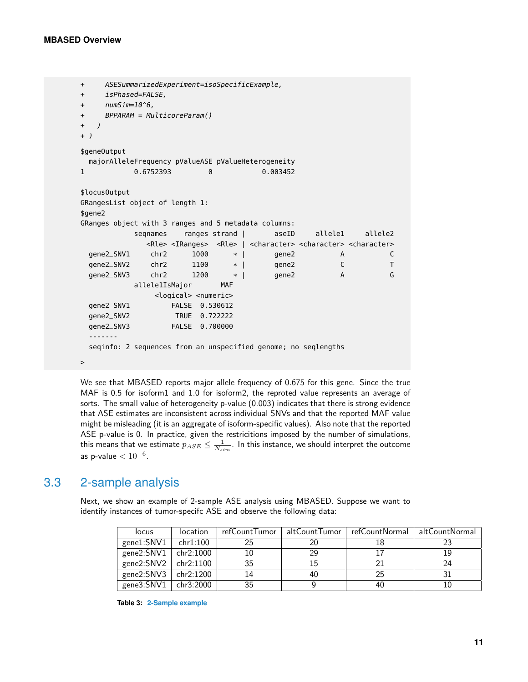```
+ ASESummarizedExperiment=isoSpecificExample,
+ isPhased=FALSE,
+ numSim=10^6,
+ BPPARAM = MulticoreParam()
+ )
+ )
$geneOutput
 majorAlleleFrequency pValueASE pValueHeterogeneity
1 0.6752393 0 0.003452
$locusOutput
GRangesList object of length 1:
$gene2
GRanges object with 3 ranges and 5 metadata columns:
           seqnames ranges strand | aseID allele1 allele2
             <Rle> <IRanges> <Rle> | <character> <character> <character>
 gene2_SNV1 chr2 1000 * | gene2 A C<br>gene2_SNV2 chr2 1100 * | gene2 C T
 gene2_SNV2 chr2 1100 * | gene2 C T
 gene2_SNV3 chr2 1200 * | gene2 A G
          allele1IsMajor MAF
               <logical> <numeric>
 gene2_SNV1 FALSE 0.530612
 gene2_SNV2 TRUE 0.722222
 gene2_SNV3 FALSE 0.700000
  -------
 seqinfo: 2 sequences from an unspecified genome; no seqlengths
>
```
We see that MBASED reports major allele frequency of 0.675 for this gene. Since the true MAF is 0.5 for isoform1 and 1.0 for isoform2, the reproted value represents an average of sorts. The small value of heterogeneity p-value (0.003) indicates that there is strong evidence that ASE estimates are inconsistent across individual SNVs and that the reported MAF value might be misleading (it is an aggregate of isoform-specific values). Also note that the reported ASE p-value is 0. In practice, given the restricitions imposed by the number of simulations, this means that we estimate  $p_{ASE} \leq \frac{1}{N_{sim}}.$  In this instance, we should interpret the outcome as p-value  $< 10^{-6}$ .

### 3.3 2-sample analysis

Next, we show an example of 2-sample ASE analysis using MBASED. Suppose we want to identify instances of tumor-specifc ASE and observe the following data:

| locus                   | location     | refCountTumor | altCountTumor | refCountNormal | altCountNormal |
|-------------------------|--------------|---------------|---------------|----------------|----------------|
| gene1:SNV1              | chr1:100     | 25            | 20            | 18             |                |
| gene $2:SNV1$           | chr2:1000 ch | 10            | 29            |                | 19             |
| gene2: $SNV2$ chr2:1100 |              | 35            | 15            |                | 24             |
| gene $2:SNV3$           | chr2:1200    | 14            | 40            | 25             |                |
| gene3:SNV1              | chr3:2000    | 35            |               | 40             | 10             |

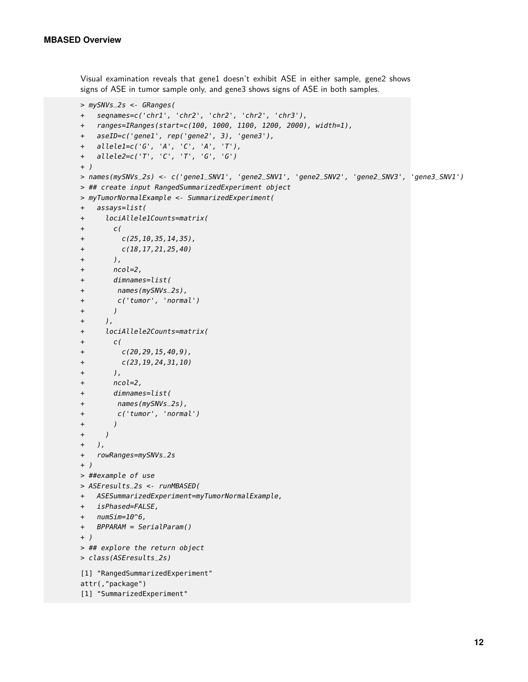Visual examination reveals that gene1 doesn't exhibit ASE in either sample, gene2 shows signs of ASE in tumor sample only, and gene3 shows signs of ASE in both samples.

```
> mySNVs_2s <- GRanges(
+ seqnames=c('chr1', 'chr2', 'chr2', 'chr2', 'chr3'),
+ ranges=IRanges(start=c(100, 1000, 1100, 1200, 2000), width=1),
+ aseID=c('gene1', rep('gene2', 3), 'gene3'),
+ allele1=c('G', 'A', 'C', 'A', 'T'),
+ allele2=c('T', 'C', 'T', 'G', 'G')
+ )
> names(mySNVs_2s) <- c('gene1_SNV1', 'gene2_SNV1', 'gene2_SNV2', 'gene2_SNV3', 'gene3_SNV1')
> ## create input RangedSummarizedExperiment object
> myTumorNormalExample <- SummarizedExperiment(
+ assays=list(
+ lociAllele1Counts=matrix(
+ c(
+ c(25,10,35,14,35),
+ c(18,17,21,25,40)
+ ),
+ ncol=2,
+ dimnames=list(
+ names(mySNVs_2s),
+ c('tumor', 'normal')
+ )
+ ),
+ lociAllele2Counts=matrix(
+ c(
+ C(20, 29, 15, 40, 9),
+ c(23,19,24,31,10)
+ ),
+ ncol=2,
+ dimnames=list(
+ names(mySNVs_2s),
+ c('tumor', 'normal')
+ )
+ )
+ ),
+ rowRanges=mySNVs_2s
+ )
> ##example of use
> ASEresults_2s <- runMBASED(
+ ASESummarizedExperiment=myTumorNormalExample,
+ isPhased=FALSE,
+ numSim=10^6,
+ BPPARAM = SerialParam()
+ )
> ## explore the return object
> class(ASEresults_2s)
[1] "RangedSummarizedExperiment"
attr(,"package")
[1] "SummarizedExperiment"
```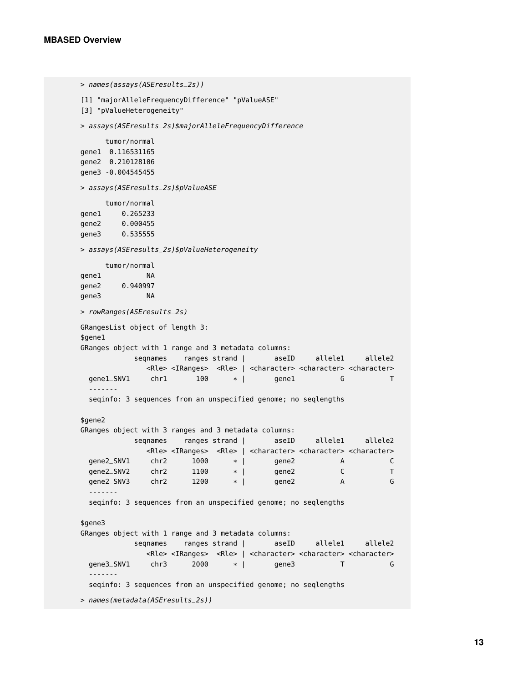> names(assays(ASEresults\_2s))

```
[1] "majorAlleleFrequencyDifference" "pValueASE"
[3] "pValueHeterogeneity"
> assays(ASEresults_2s)$majorAlleleFrequencyDifference
     tumor/normal
gene1 0.116531165
gene2 0.210128106
gene3 -0.004545455
> assays(ASEresults_2s)$pValueASE
     tumor/normal
gene1 0.265233
gene2 0.000455
gene3 0.535555
> assays(ASEresults_2s)$pValueHeterogeneity
     tumor/normal
gene1 NA
gene2 0.940997
gene3 NA
> rowRanges(ASEresults_2s)
GRangesList object of length 3:
$gene1
GRanges object with 1 range and 3 metadata columns:
          seqnames ranges strand | aseID allele1 allele2
             <Rle> <IRanges> <Rle> | <character> <character> <character>
 gene1_SNV1 chr1 100 * | gene1 G T
 -------
 seqinfo: 3 sequences from an unspecified genome; no seqlengths
$gene2
GRanges object with 3 ranges and 3 metadata columns:
           seqnames ranges strand | aseID allele1 allele2
             <Rle> <IRanges> <Rle> | <character> <character> <character>
 gene2_SNV1 chr2 1000 * | gene2 A C
 gene2_SNV2 chr2 1100 * | gene2 C T
 gene2_SNV3 chr2 1200 * | gene2 A G
 -------
 seqinfo: 3 sequences from an unspecified genome; no seqlengths
$gene3
GRanges object with 1 range and 3 metadata columns:
           seqnames ranges strand | aseID allele1 allele2
             <Rle> <IRanges> <Rle> | <character> <character> <character>
 gene3_SNV1 chr3 2000 * | gene3 T G
 -------
 seqinfo: 3 sequences from an unspecified genome; no seqlengths
> names(metadata(ASEresults_2s))
```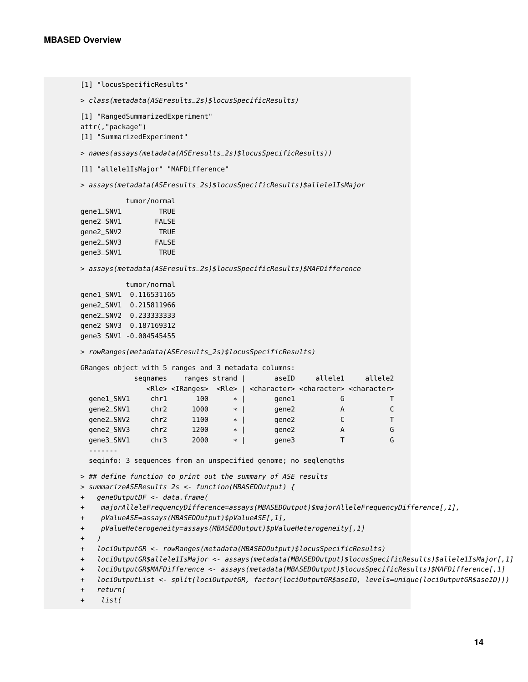```
[1] "locusSpecificResults"
```
> class(metadata(ASEresults\_2s)\$locusSpecificResults)

```
[1] "RangedSummarizedExperiment"
```
attr(,"package")

```
[1] "SummarizedExperiment"
```

```
> names(assays(metadata(ASEresults_2s)$locusSpecificResults))
```
[1] "allele1IsMajor" "MAFDifference"

> assays(metadata(ASEresults\_2s)\$locusSpecificResults)\$allele1IsMajor

#### tumor/normal

| gene1_SNV1 | <b>TRUE</b>  |
|------------|--------------|
| gene2_SNV1 | <b>FALSE</b> |
| gene2_SNV2 | <b>TRUE</b>  |
| gene2_SNV3 | <b>FALSE</b> |
| gene3_SNV1 | <b>TRUF</b>  |
|            |              |

> assays(metadata(ASEresults\_2s)\$locusSpecificResults)\$MAFDifference

tumor/normal gene1\_SNV1 0.116531165 gene2\_SNV1 0.215811966 gene2\_SNV2 0.233333333 gene2\_SNV3 0.187169312 gene3\_SNV1 -0.004545455

> rowRanges(metadata(ASEresults\_2s)\$locusSpecificResults)

GRanges object with 5 ranges and 3 metadata columns:

|            | segnames |                                 | ranges strand | aseID                                                                                 | allelel | allele2 |
|------------|----------|---------------------------------|---------------|---------------------------------------------------------------------------------------|---------|---------|
|            |          | <rle> <iranges></iranges></rle> |               | <rle>   <character> <character> <character></character></character></character></rle> |         |         |
| gene1_SNV1 | chr1     | 100                             | $\ast$        | gene1                                                                                 | G       |         |
| gene2_SNV1 | chr2     | 1000                            | $\ast$        | qene2                                                                                 | A       |         |
| qene2_SNV2 | chr2     | 1100                            | $\ast$        | qene2                                                                                 |         |         |
| gene2_SNV3 | chr2     | 1200                            | $\ast$        | gene2                                                                                 | А       | G       |
| gene3_SNV1 | chr3     | 2000                            | $\ast$        | qene3                                                                                 |         | G       |
|            |          |                                 |               |                                                                                       |         |         |

seqinfo: 3 sequences from an unspecified genome; no seqlengths

> ## define function to print out the summary of ASE results

```
> summarizeASEResults_2s <- function(MBASEDOutput) {
```
+ geneOutputDF <- data.frame(

+ majorAlleleFrequencyDifference=assays(MBASEDOutput)\$majorAlleleFrequencyDifference[,1],

- + pValueASE=assays(MBASEDOutput)\$pValueASE[,1],
- + pValueHeterogeneity=assays(MBASEDOutput)\$pValueHeterogeneity[,1]
- + )

```
+ lociOutputGR <- rowRanges(metadata(MBASEDOutput)$locusSpecificResults)
```
- + lociOutputGR\$allele1IsMajor <- assays(metadata(MBASEDOutput)\$locusSpecificResults)\$allele1IsMajor[,1]
- + lociOutputGR\$MAFDifference <- assays(metadata(MBASEDOutput)\$locusSpecificResults)\$MAFDifference[,1]
- + lociOutputList <- split(lociOutputGR, factor(lociOutputGR\$aseID, levels=unique(lociOutputGR\$aseID)))

+ return(

```
+ list(
```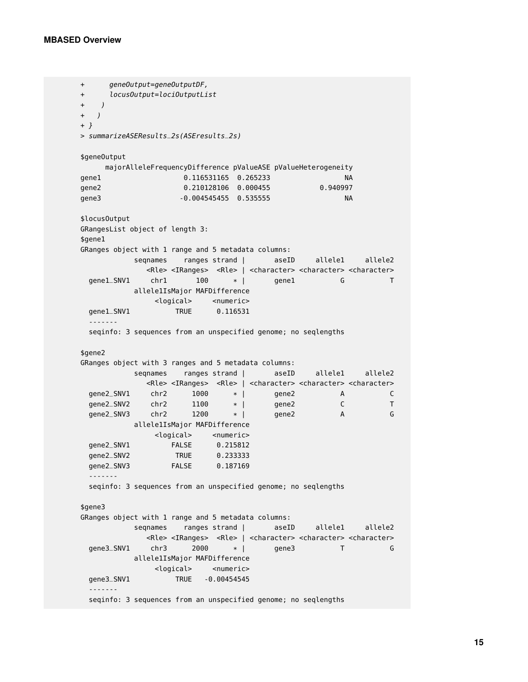```
+ geneOutput=geneOutputDF,
+ locusOutput=lociOutputList
+ )
+ )
+ }
> summarizeASEResults_2s(ASEresults_2s)
$geneOutput
    majorAlleleFrequencyDifference pValueASE pValueHeterogeneity
gene1 0.116531165 0.265233 NA
gene2 0.210128106 0.000455 0.940997
gene3 -0.004545455 0.535555 NA
$locusOutput
GRangesList object of length 3:
$gene1
GRanges object with 1 range and 5 metadata columns:
          seqnames ranges strand | aseID allele1 allele2
            <Rle> <IRanges> <Rle> | <character> <character> <character>
 gene1_SNV1 chr1 100 * | gene1 G T
          allele1IsMajor MAFDifference
              <logical> <numeric>
 gene1_SNV1 TRUE 0.116531
 -------
 seqinfo: 3 sequences from an unspecified genome; no seqlengths
$gene2
GRanges object with 3 ranges and 5 metadata columns:
          seqnames ranges strand | aseID allele1 allele2
            <Rle> <IRanges> <Rle> | <character> <character> <character>
 gene2_SNV1 chr2 1000 * | gene2 A C
 gene2_SNV2 chr2 1100 * | gene2 C T<br>gene2_SNV3 chr2 1200 * | gene2 A G
 gene2 SNV3 chr2 1200allele1IsMajor MAFDifference
             <logical> <numeric>
 gene2_SNV1 FALSE 0.215812
 gene2_SNV2 TRUE 0.233333
 gene2_SNV3 FALSE 0.187169
 -------
 seqinfo: 3 sequences from an unspecified genome; no seqlengths
$gene3
GRanges object with 1 range and 5 metadata columns:
          seqnames ranges strand | aseID allele1 allele2
            <Rle> <IRanges> <Rle> | <character> <character> <character>
 gene3_SNV1 chr3 2000 * | gene3 T G
          allele1IsMajor MAFDifference
             <logical> <numeric>
 gene3_SNV1 TRUE -0.00454545
 -------
 seqinfo: 3 sequences from an unspecified genome; no seqlengths
```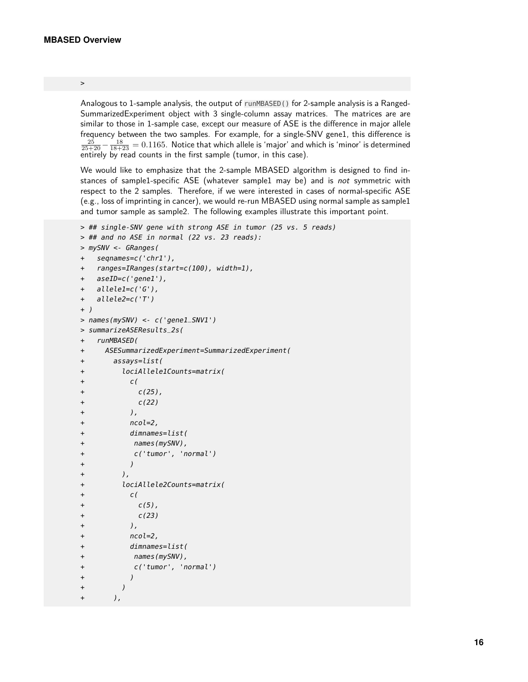#### >

Analogous to 1-sample analysis, the output of runMBASED() for 2-sample analysis is a Ranged-SummarizedExperiment object with 3 single-column assay matrices. The matrices are are similar to those in 1-sample case, except our measure of ASE is the difference in major allele frequency between the two samples. For example, for a single-SNV gene1, this difference is  $\frac{25}{25+20}-\frac{18}{18+23}=0.1165.$  Notice that which allele is 'major' and which is 'minor' is determined entirely by read counts in the first sample (tumor, in this case).

We would like to emphasize that the 2-sample MBASED algorithm is designed to find instances of sample1-specific ASE (whatever sample1 may be) and is not symmetric with respect to the 2 samples. Therefore, if we were interested in cases of normal-specific ASE (e.g., loss of imprinting in cancer), we would re-run MBASED using normal sample as sample1 and tumor sample as sample2. The following examples illustrate this important point.

```
> ## single-SNV gene with strong ASE in tumor (25 vs. 5 reads)
> ## and no ASE in normal (22 vs. 23 reads):
> mySNV <- GRanges(
+ seqnames=c('chr1'),
+ ranges=IRanges(start=c(100), width=1),
+ aseID=c('gene1'),
+ allele1=c('G'),
+ allele2=c('T')
+ )
> names(mySNV) <- c('gene1_SNV1')
> summarizeASEResults_2s(
+ runMBASED(
+ ASESummarizedExperiment=SummarizedExperiment(
+ assays=list(
+ lociAllele1Counts=matrix(
+ c(
+ c(25),
+ c(22)+ ),
+ ncol=2,
+ dimnames=list(
+ names(mySNV),
+ c('tumor', 'normal')
+ )
+ ),
+ lociAllele2Counts=matrix(
+ c(
+ c(5),
+ c(23)
+ ),
+ ncol=2,
+ dimnames=list(
+ names(mySNV),
+ c('tumor', 'normal')
+ )
+ )
+ ),
```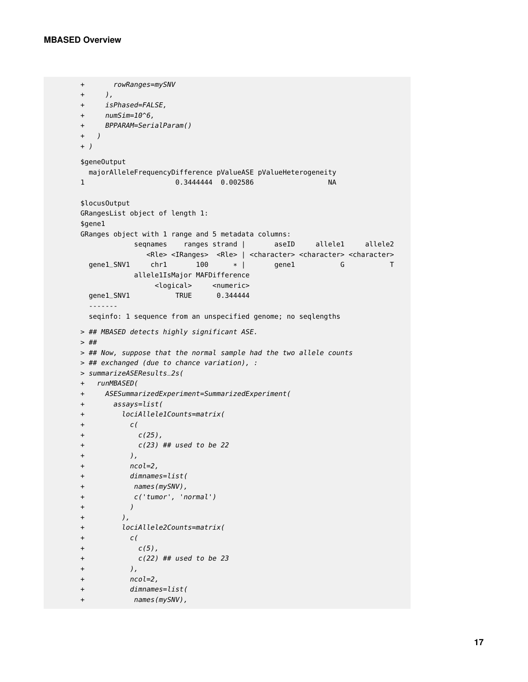```
+ rowRanges=mySNV
+ ),
+ isPhased=FALSE,
+ numSim=10^6,
+ BPPARAM=SerialParam()
+ )
+ )
$geneOutput
 majorAlleleFrequencyDifference pValueASE pValueHeterogeneity
1 0.3444444 0.002586 NA
$locusOutput
GRangesList object of length 1:
$gene1
GRanges object with 1 range and 5 metadata columns:
          seqnames ranges strand | aseID allele1 allele2
            <Rle> <IRanges> <Rle> | <character> <character> <character>
 gene1_SNV1 chr1 100 * | gene1 G T
          allele1IsMajor MAFDifference
             <logical> <numeric>
 gene1_SNV1 TRUE 0.344444
 -------
 seqinfo: 1 sequence from an unspecified genome; no seqlengths
> ## MBASED detects highly significant ASE.
> ##
> ## Now, suppose that the normal sample had the two allele counts
> ## exchanged (due to chance variation), :
> summarizeASEResults_2s(
+ runMBASED(
+ ASESummarizedExperiment=SummarizedExperiment(
+ assays=list(
+ lociAllele1Counts=matrix(
+ c(
+ c(25),
+ c(23) ## used to be 22
+ ),
+ ncol=2,
+ dimnames=list(
+ names(mySNV),
+ c('tumor', 'normal')
+ )
+ ),
+ lociAllele2Counts=matrix(
+ c(
+ c(5),
+ c(22) ## used to be 23
+ ),
+ ncol=2,
+ dimnames=list(
+ names(mySNV),
```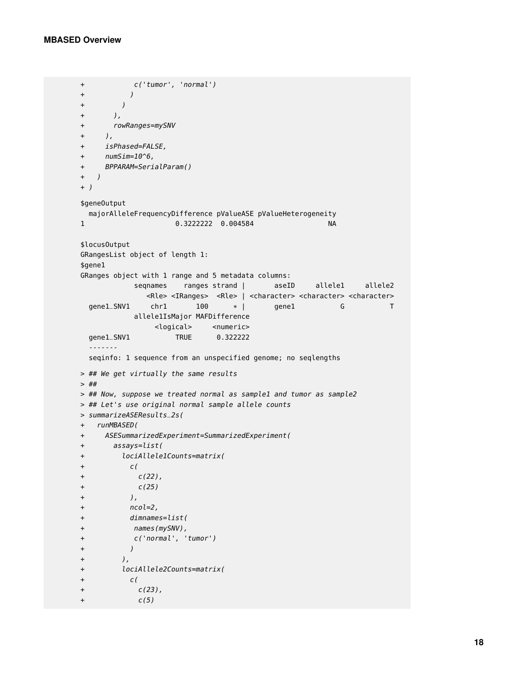```
+ c('tumor', 'normal')
+ )
+ )
+ ),
+ rowRanges=mySNV
+ ),
+ isPhased=FALSE,
+ numSim=10^6,
+ BPPARAM=SerialParam()
+ )
+ )
$geneOutput
 majorAlleleFrequencyDifference pValueASE pValueHeterogeneity
1 0.3222222 0.004584 NA
$locusOutput
GRangesList object of length 1:
$gene1
GRanges object with 1 range and 5 metadata columns:
          seqnames ranges strand | aseID allele1 allele2
            <Rle> <IRanges> <Rle> | <character> <character> <character>
 gene1_SNV1 chr1 100 * | gene1 G T
         allele1IsMajor MAFDifference
             <logical> <numeric>
 gene1_SNV1 TRUE 0.322222
 -------
 seqinfo: 1 sequence from an unspecified genome; no seqlengths
> ## We get virtually the same results
> ##
> ## Now, suppose we treated normal as sample1 and tumor as sample2
> ## Let's use original normal sample allele counts
> summarizeASEResults_2s(
+ runMBASED(
+ ASESummarizedExperiment=SummarizedExperiment(
+ assays=list(
+ lociAllele1Counts=matrix(
+ c(
+ c(22),
+ c(25)+ ),
+ ncol=2,
+ dimnames=list(
+ names(mySNV),
+ c('normal', 'tumor')
+ )
+ ),
+ lociAllele2Counts=matrix(
+ c(
+ c(23),
+ c(5)
```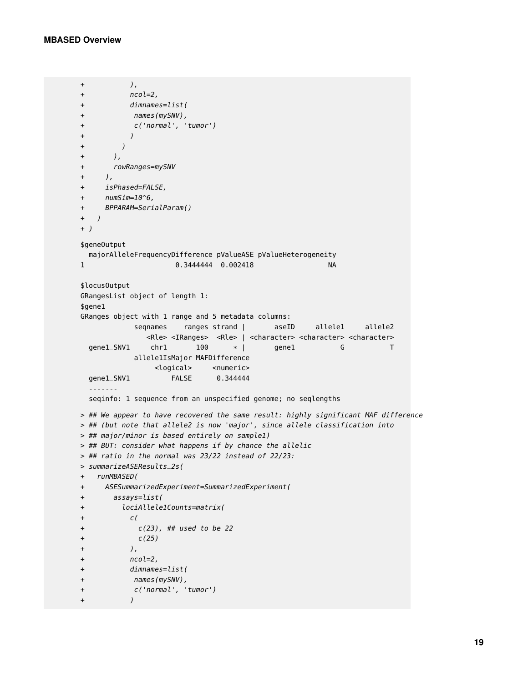```
+ ),
+ ncol=2,
+ dimnames=list(
+ names(mySNV),
+ c('normal', 'tumor')
+ )
+ )
+ ),
+ rowRanges=mySNV
+ ),
+ isPhased=FALSE,
+ numSim=10^6,
+ BPPARAM=SerialParam()
+ )
+ )
$geneOutput
 majorAlleleFrequencyDifference pValueASE pValueHeterogeneity
1 0.3444444 0.002418 NA
$locusOutput
GRangesList object of length 1:
$gene1
GRanges object with 1 range and 5 metadata columns:
          seqnames ranges strand | aseID allele1 allele2
            <Rle> <IRanges> <Rle> | <character> <character> <character>
 qene1_SNV1 chr1 100 * | gene1 G T
          allele1IsMajor MAFDifference
             <logical> <numeric>
 gene1_SNV1 FALSE 0.344444
 -------
 seqinfo: 1 sequence from an unspecified genome; no seqlengths
> ## We appear to have recovered the same result: highly significant MAF difference
> ## (but note that allele2 is now 'major', since allele classification into
> ## major/minor is based entirely on sample1)
> ## BUT: consider what happens if by chance the allelic
> ## ratio in the normal was 23/22 instead of 22/23:
> summarizeASEResults_2s(
+ runMBASED(
+ ASESummarizedExperiment=SummarizedExperiment(
+ assays=list(
+ lociAllele1Counts=matrix(
+ c(
+ c(23), ## used to be 22
+ c(25)+ ),
+ ncol=2,
+ dimnames=list(
+ names(mySNV),
+ c('normal', 'tumor')
+ )
```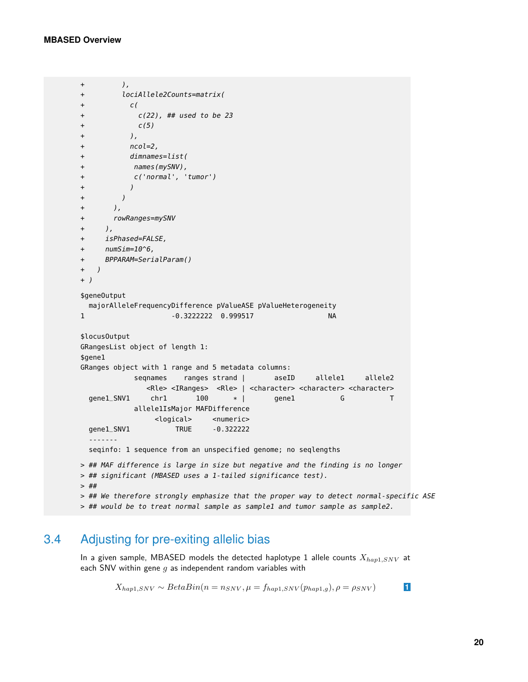```
+ ),
+ lociAllele2Counts=matrix(
+ c(
+ c(22), ## used to be 23
+ C(5)+ ),
+ ncol=2,
+ dimnames=list(
+ names(mySNV),
+ c('normal', 'tumor')
+ )
+ )
+ ),
+ rowRanges=mySNV
+ ),
+ isPhased=FALSE,
+ numSim=10^6,
+ BPPARAM=SerialParam()
+ )
+ )
$geneOutput
 majorAlleleFrequencyDifference pValueASE pValueHeterogeneity
1 -0.3222222 0.999517 NA
$locusOutput
GRangesList object of length 1:
$gene1
GRanges object with 1 range and 5 metadata columns:
          seqnames ranges strand | aseID allele1 allele2
             <Rle> <IRanges> <Rle> | <character> <character> <character>
 gene1_SNV1 chr1 100 * | gene1 G T
          allele1IsMajor MAFDifference
              <logical> <numeric>
 gene1_SNV1 TRUE -0.322222
 -------
 seqinfo: 1 sequence from an unspecified genome; no seqlengths
> ## MAF difference is large in size but negative and the finding is no longer
> ## significant (MBASED uses a 1-tailed significance test).
> ##
> ## We therefore strongly emphasize that the proper way to detect normal-specific ASE
> ## would be to treat normal sample as sample1 and tumor sample as sample2.
```
# 3.4 Adjusting for pre-exiting allelic bias

In a given sample, MBASED models the detected haplotype 1 allele counts  $X_{hap1,SNV}$  at each SNV within gene  $g$  as independent random variables with

<span id="page-19-0"></span> $X_{hap1,SNV} \sim BetaBin(n = n_{SNV}, \mu = f_{hap1,SNV}(p_{hap1,g}), \rho = \rho_{SNV})$  **1**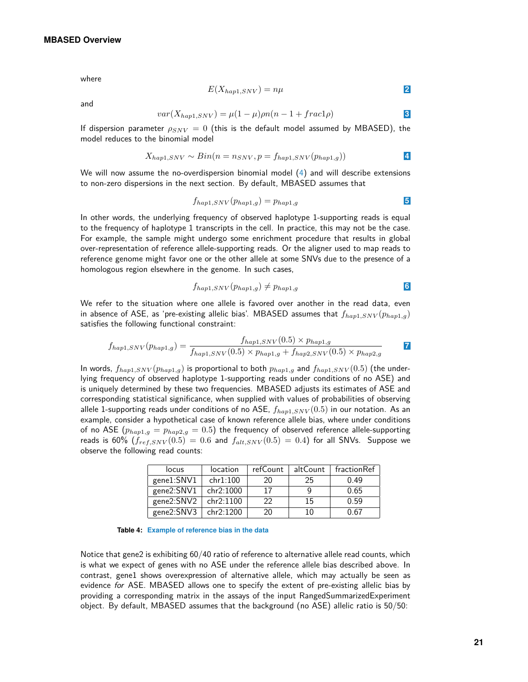where

<span id="page-20-0"></span>
$$
E(X_{hap1,SNV}) = n\mu
$$

and

$$
var(X_{hap1,SNV}) = \mu(1-\mu)\rho n(n-1 + frac1\rho)
$$

If dispersion parameter  $\rho_{SNV} = 0$  (this is the default model assumed by MBASED), the model reduces to the binomial model

$$
X_{hap1,SNV} \sim Bin(n = n_{SNV}, p = f_{hap1,SNV}(p_{hap1,g}))
$$

We will now assume the no-overdispersion binomial model [\(4\)](#page-20-0) and will describe extensions to non-zero dispersions in the next section. By default, MBASED assumes that

$$
f_{hap1, SNV}(p_{hap1,g}) = p_{hap1,g}
$$

In other words, the underlying frequency of observed haplotype 1-supporting reads is equal to the frequency of haplotype 1 transcripts in the cell. In practice, this may not be the case. For example, the sample might undergo some enrichment procedure that results in global over-representation of reference allele-supporting reads. Or the aligner used to map reads to reference genome might favor one or the other allele at some SNVs due to the presence of a homologous region elsewhere in the genome. In such cases,

$$
f_{hap1, SNV}(p_{hap1,g}) \neq p_{hap1,g}
$$

We refer to the situation where one allele is favored over another in the read data, even in absence of ASE, as 'pre-existing allelic bias'. MBASED assumes that  $f_{hap1,SNV}(p_{hap1,q})$ satisfies the following functional constraint:

$$
f_{hap1, SNV}(p_{hap1,g}) = \frac{f_{hap1, SNV}(0.5) \times p_{hap1,g}}{f_{hap1, SNV}(0.5) \times p_{hap1,g} + f_{hap2, SNV}(0.5) \times p_{hap2,g}}
$$

In words,  $f_{hap1, SNV}(p_{hap1,g})$  is proportional to both  $p_{hap1,g}$  and  $f_{hap1, SNV}(0.5)$  (the underlying frequency of observed haplotype 1-supporting reads under conditions of no ASE) and is uniquely determined by these two frequencies. MBASED adjusts its estimates of ASE and corresponding statistical significance, when supplied with values of probabilities of observing allele 1-supporting reads under conditions of no ASE,  $f_{hap1,SNV}(0.5)$  in our notation. As an example, consider a hypothetical case of known reference allele bias, where under conditions of no ASE  $(p_{map1,g} = p_{map2,g} = 0.5)$  the frequency of observed reference allele-supporting reads is 60%  $(f_{ref, SNV}(0.5) = 0.6$  and  $f_{alt, SNV}(0.5) = 0.4$ ) for all SNVs. Suppose we observe the following read counts:

| locus      | location  | refCount | altCount | fractionRef |
|------------|-----------|----------|----------|-------------|
| gene1:SNV1 | chr1:100  | 20       | 25       | 0.49        |
| gene2:SNV1 | chr2:1000 | 17       | q        | 0.65        |
| gene2:SNV2 | chr2:1100 | フフ       | 15       | 0.59        |
| gene2:SNV3 | chr2:1200 | 20       | 10       | 0.67        |

**Table 4: Example of reference bias in the data**

Notice that gene2 is exhibiting 60/40 ratio of reference to alternative allele read counts, which is what we expect of genes with no ASE under the reference allele bias described above. In contrast, gene1 shows overexpression of alternative allele, which may actually be seen as evidence for ASE. MBASED allows one to specify the extent of pre-existing allelic bias by providing a corresponding matrix in the assays of the input RangedSummarizedExperiment object. By default, MBASED assumes that the background (no ASE) allelic ratio is 50/50: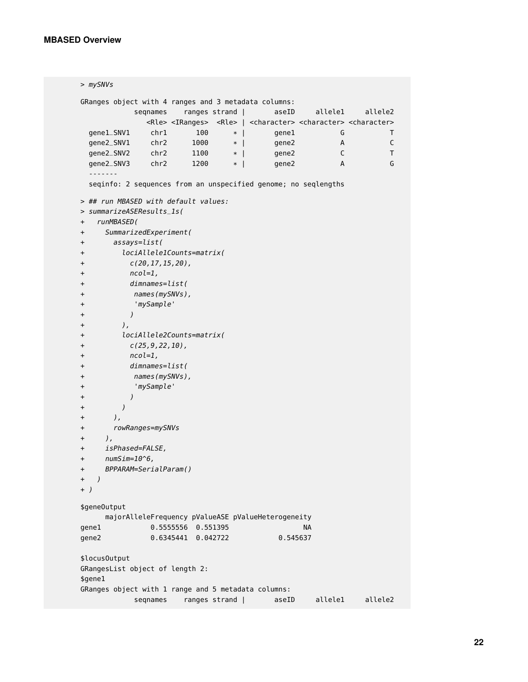```
> mySNVs
GRanges object with 4 ranges and 3 metadata columns:
         seqnames ranges strand | aseID allele1 allele2
            <Rle> <IRanges> <Rle> | <character> <character> <character>
 gene1_SNV1 chr1 100 * | gene1 G T
 gene2_SNV1 chr2 1000 * | gene2 A C<br>gene2_SNV2 chr2 1100 * | gene2 C T
 gene2_SNV2 chr2 1100 * | gene2
 gene2_SNV3 chr2 1200 * | gene2 A G
 -------
 seqinfo: 2 sequences from an unspecified genome; no seqlengths
> ## run MBASED with default values:
> summarizeASEResults_1s(
+ runMBASED(
+ SummarizedExperiment(
+ assays=list(
+ lociAllele1Counts=matrix(
+ c(20,17,15,20),
+ ncol=1,
+ dimnames=list(
+ names(mySNVs),
+ 'mySample'
+ )
+ ),
+ lociAllele2Counts=matrix(
+ c(25, 9, 22, 10),
+ ncol=1,
+ dimnames=list(
+ names(mySNVs),
+ 'mySample'
+ )
+ )
+ ),
+ rowRanges=mySNVs
+ ),
+ isPhased=FALSE,
+ numSim=10^6,
+ BPPARAM=SerialParam()
+ )
+ )
$geneOutput
    majorAlleleFrequency pValueASE pValueHeterogeneity
gene1 0.5555556 0.551395 NA
gene2 0.6345441 0.042722 0.545637
$locusOutput
GRangesList object of length 2:
$gene1
GRanges object with 1 range and 5 metadata columns:
          seqnames ranges strand | aseID allele1 allele2
```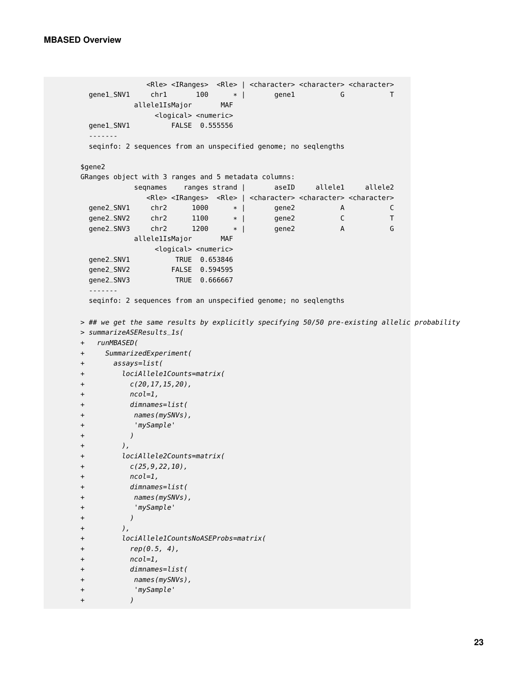+ )

```
<Rle> <IRanges> <Rle> | <character> <character> <character>
 gene1_SNV1 chr1 100 * | gene1 G T<br>allele1IsMajor MAF
          allele1IsMajor
             <logical> <numeric>
 gene1_SNV1 FALSE 0.555556
 -------
 seqinfo: 2 sequences from an unspecified genome; no seqlengths
$gene2
GRanges object with 3 ranges and 5 metadata columns:
          seqnames ranges strand | aseID allele1 allele2
            <Rle> <IRanges> <Rle> | <character> <character> <character>
 gene2_SNV1 chr2 1000 * | gene2 A C
 gene2_SNV2 chr2 1100 * | gene2 C T<br>gene2_SNV3 chr2 1200 * | gene2 A G
 gene2_SNV3 chr2 1200 * | gene2
          allele1IsMajor MAF
             <logical> <numeric>
 gene2_SNV1 TRUE 0.653846
 gene2_SNV2 FALSE 0.594595
 gene2_SNV3 TRUE 0.666667
 -------
 seqinfo: 2 sequences from an unspecified genome; no seqlengths
> ## we get the same results by explicitly specifying 50/50 pre-existing allelic probability
> summarizeASEResults_1s(
+ runMBASED(
+ SummarizedExperiment(
+ assays=list(
+ lociAllele1Counts=matrix(
+ c(20, 17, 15, 20),
+ ncol=1,
+ dimnames=list(
+ names(mySNVs),
+ 'mySample'
+ )
+ ),
+ lociAllele2Counts=matrix(
+ c(25, 9, 22, 10),
+ ncol=1,
+ dimnames=list(
+ names(mySNVs),
+ 'mySample'
+ )
+ ),
+ lociAllele1CountsNoASEProbs=matrix(
+ rep(0.5, 4),
+ ncol=1,
+ dimnames=list(
+ names(mySNVs),
+ 'mySample'
```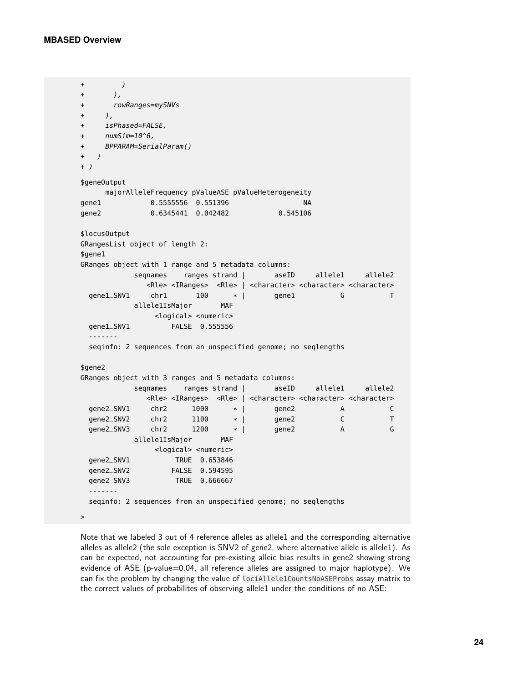```
+ )
+ ),
+ rowRanges=mySNVs
+ ),
+ isPhased=FALSE,
+ numSim=10^6,
+ BPPARAM=SerialParam()
+ )
+ )
$geneOutput
    majorAlleleFrequency pValueASE pValueHeterogeneity
gene1 0.5555556 0.551396 NA
gene2 0.6345441 0.042482 0.545106
$locusOutput
GRangesList object of length 2:
$gene1
GRanges object with 1 range and 5 metadata columns:
          seqnames ranges strand | aseID allele1 allele2
            <Rle> <IRanges> <Rle> | <character> <character> <character>
 gene1_SNV1 chr1 100 * | gene1 G T
          allele1IsMajor MAF
             <logical> <numeric>
 gene1_SNV1 FALSE 0.555556
  -------
 seqinfo: 2 sequences from an unspecified genome; no seqlengths
$gene2
GRanges object with 3 ranges and 5 metadata columns:
          seqnames ranges strand | aseID allele1 allele2
            <Rle> <IRanges> <Rle> | <character> <character> <character>
 gene2_SNV1 chr2 1000 * | gene2 A C
 gene2_SNV2 chr2 1100 * | gene2 C T
 gene2_SNV3 chr2 1200 * | gene2 A G
          allele1IsMajor MAF
             <logical> <numeric>
 gene2_SNV1 TRUE 0.653846
 gene2_SNV2 FALSE 0.594595
 gene2_SNV3 TRUE 0.666667
 -------
 seqinfo: 2 sequences from an unspecified genome; no seqlengths
>
```
Note that we labeled 3 out of 4 reference alleles as allele1 and the corresponding alternative alleles as allele2 (the sole exception is SNV2 of gene2, where alternative allele is allele1). As can be expected, not accounting for pre-existing alleic bias results in gene2 showing strong evidence of ASE (p-value=0.04, all reference alleles are assigned to major haplotype). We can fix the problem by changing the value of lociAllele1CountsNoASEProbs assay matrix to the correct values of probabilites of observing allele1 under the conditions of no ASE: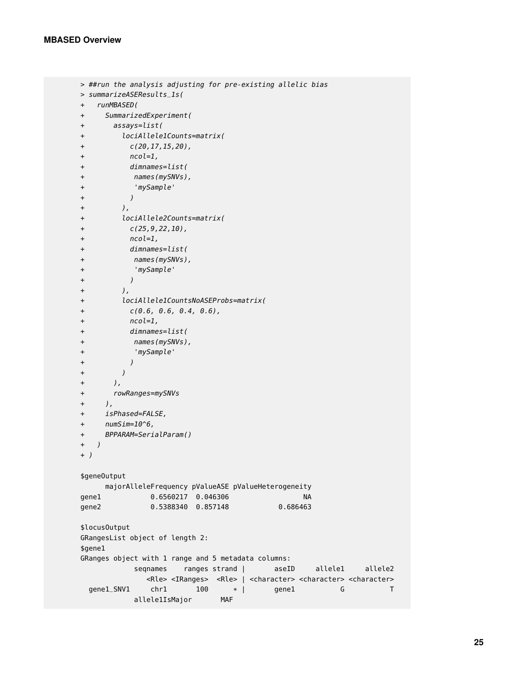```
> ##run the analysis adjusting for pre-existing allelic bias
> summarizeASEResults_1s(
+ runMBASED(
+ SummarizedExperiment(
+ assays=list(
+ lociAllele1Counts=matrix(
+ c(20,17,15,20),
+ ncol=1,
+ dimnames=list(
+ names(mySNVs),
+ 'mySample'
+ )
+ ),
+ lociAllele2Counts=matrix(
+ c(25, 9, 22, 10),
+ ncol=1,
+ dimnames=list(
+ names(mySNVs),
+ 'mySample'
+ )
+ ),
+ lociAllele1CountsNoASEProbs=matrix(
+ C(0.6, 0.6, 0.4, 0.6),
+ ncol=1,
+ dimnames=list(
+ names(mySNVs),
+ 'mySample'
+ )
+ )
+ ),
+ rowRanges=mySNVs
+ ),
+ isPhased=FALSE,
+ numSim=10^6,
+ BPPARAM=SerialParam()
+ )
+ )
$geneOutput
    majorAlleleFrequency pValueASE pValueHeterogeneity
gene1 0.6560217 0.046306 NA
gene2 0.5388340 0.857148 0.686463
$locusOutput
GRangesList object of length 2:
$gene1
GRanges object with 1 range and 5 metadata columns:
         seqnames ranges strand | aseID allele1 allele2
           <Rle> <IRanges> <Rle> | <character> <character> <character>
 gene1_SNV1 chr1 100 * | gene1 G T
         allele1IsMajor MAF
```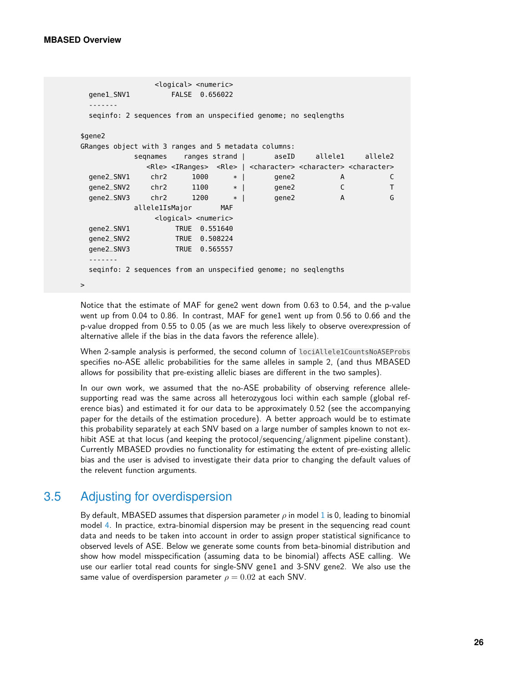```
<logical> <numeric>
 gene1_SNV1 FALSE 0.656022
 -------
 seqinfo: 2 sequences from an unspecified genome; no seqlengths
$gene2
GRanges object with 3 ranges and 5 metadata columns:
          seqnames ranges strand | aseID allele1 allele2
            <Rle> <IRanges> <Rle> | <character> <character> <character>
 gene2_SNV1 chr2 1000 * | gene2 A C
 gene2_SNV2 chr2 1100 * | gene2 C T
 gene2_SNV3 chr2 1200 * | gene2 A G
          allele1IsMajor MAF
              <logical> <numeric>
 gene2_SNV1 TRUE 0.551640
 gene2_SNV2 TRUE 0.508224
 gene2_SNV3 TRUE 0.565557
 -------
 seqinfo: 2 sequences from an unspecified genome; no seqlengths
>
```
Notice that the estimate of MAF for gene2 went down from 0.63 to 0.54, and the p-value went up from 0.04 to 0.86. In contrast, MAF for gene1 went up from 0.56 to 0.66 and the p-value dropped from 0.55 to 0.05 (as we are much less likely to observe overexpression of alternative allele if the bias in the data favors the reference allele).

When 2-sample analysis is performed, the second column of lociAllele1CountsNoASEProbs specifies no-ASE allelic probabilities for the same alleles in sample 2, (and thus MBASED allows for possibility that pre-existing allelic biases are different in the two samples).

In our own work, we assumed that the no-ASE probability of observing reference allelesupporting read was the same across all heterozygous loci within each sample (global reference bias) and estimated it for our data to be approximately 0.52 (see the accompanying paper for the details of the estimation procedure). A better approach would be to estimate this probability separately at each SNV based on a large number of samples known to not exhibit ASE at that locus (and keeping the protocol/sequencing/alignment pipeline constant). Currently MBASED provdies no functionality for estimating the extent of pre-existing allelic bias and the user is advised to investigate their data prior to changing the default values of the relevent function arguments.

# 3.5 Adjusting for overdispersion

By default, MBASED assumes that dispersion parameter  $\rho$  in model [1](#page-19-0) is 0, leading to binomial model [4.](#page-20-0) In practice, extra-binomial dispersion may be present in the sequencing read count data and needs to be taken into account in order to assign proper statistical significance to observed levels of ASE. Below we generate some counts from beta-binomial distribution and show how model misspecification (assuming data to be binomial) affects ASE calling. We use our earlier total read counts for single-SNV gene1 and 3-SNV gene2. We also use the same value of overdispersion parameter  $\rho = 0.02$  at each SNV.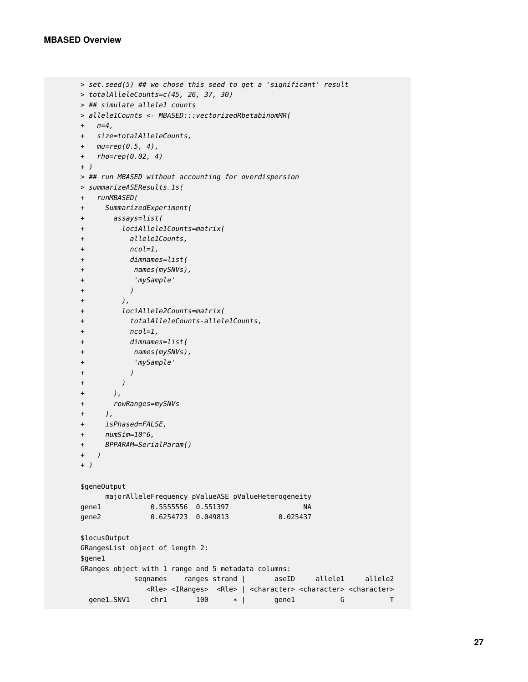```
> set.seed(5) ## we chose this seed to get a 'significant' result
> totalAlleleCounts=c(45, 26, 37, 30)
> ## simulate allele1 counts
> allele1Counts <- MBASED:::vectorizedRbetabinomMR(
+ n=4.
+ size=totalAlleleCounts,
+ mu=rep(0.5, 4),
+ rho=rep(0.02, 4)
+ )
> ## run MBASED without accounting for overdispersion
> summarizeASEResults_1s(
+ runMBASED(
+ SummarizedExperiment(
+ assays=list(
+ lociAllele1Counts=matrix(
+ allele1Counts,
+ ncol=1,
+ dimnames=list(
+ names(mySNVs),
+ 'mySample'
+ )
+ ),
+ lociAllele2Counts=matrix(
+ totalAlleleCounts-allele1Counts,
+ ncol=1,
+ dimnames=list(
+ names(mySNVs),
+ 'mySample'
+ )
+ )
+ ),
+ rowRanges=mySNVs
+ ),
+ isPhased=FALSE,
+ numSim=10^6,
+ BPPARAM=SerialParam()
+ )
+ )
$geneOutput
    majorAlleleFrequency pValueASE pValueHeterogeneity
gene1 0.5555556 0.551397 NA
gene2 0.6254723 0.049813 0.025437
$locusOutput
GRangesList object of length 2:
$gene1
GRanges object with 1 range and 5 metadata columns:
          seqnames ranges strand | aseID allele1 allele2
            <Rle> <IRanges> <Rle> | <character> <character> <character>
 gene1_SNV1 chr1 100 * | gene1 G T
```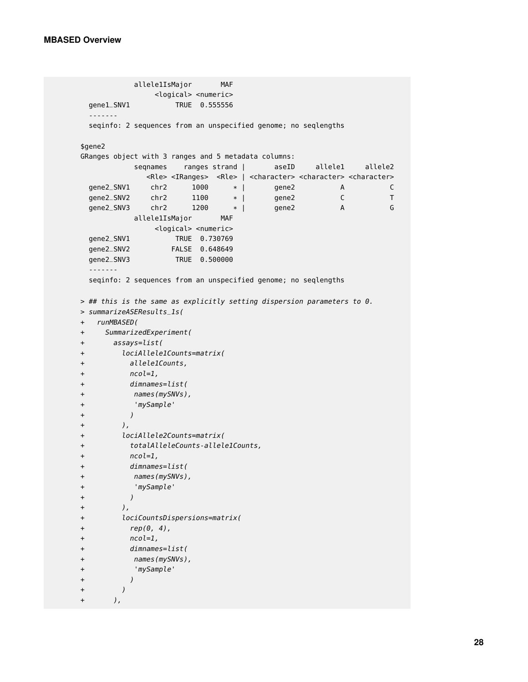+ ),

```
allele1IsMajor MAF
             <logical> <numeric>
 gene1_SNV1 TRUE 0.555556
 -------
 seqinfo: 2 sequences from an unspecified genome; no seqlengths
$gene2
GRanges object with 3 ranges and 5 metadata columns:
          seqnames ranges strand | aseID allele1 allele2
            <Rle> <IRanges> <Rle> | <character> <character> <character>
 gene2_SNV1 chr2 1000 * | gene2 A C
 gene2_SNV2 chr2 1100 * | gene2 C T<br>gene2_SNV3 chr2 1200 * | gene2 A G
 gene2_SNV3 chr2 1200 * | gene2 A G
          allele1IsMajor MAF
            <logical> <numeric>
 gene2_SNV1 TRUE 0.730769
 gene2_SNV2 FALSE 0.648649
 gene2_SNV3 TRUE 0.500000
 -------
 seqinfo: 2 sequences from an unspecified genome; no seqlengths
> ## this is the same as explicitly setting dispersion parameters to 0.
> summarizeASEResults_1s(
+ runMBASED(
+ SummarizedExperiment(
+ assays=list(
+ lociAllele1Counts=matrix(
+ allele1Counts,
+ ncol=1,
+ dimnames=list(
+ names(mySNVs),
+ 'mySample'
+ )
+ ),
+ lociAllele2Counts=matrix(
+ totalAlleleCounts-allele1Counts,
+ ncol=1,
+ dimnames=list(
+ names(mySNVs),
+ 'mySample'
+ )
+ ),
+ lociCountsDispersions=matrix(
+ rep(0, 4),
+ ncol=1,
+ dimnames=list(
+ names(mySNVs),
+ 'mySample'
+ )
+ )
```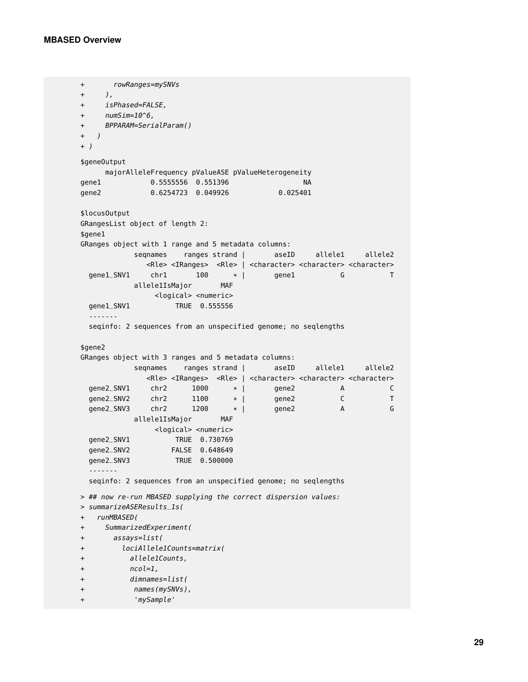```
+ rowRanges=mySNVs
+ ),
+ isPhased=FALSE,
+ numSim=10^6,
+ BPPARAM=SerialParam()
+ )
+ )
$geneOutput
  majorAlleleFrequency pValueASE pValueHeterogeneity
gene1 0.5555556 0.551396 NA
gene2 0.6254723 0.049926 0.025401
$locusOutput
GRangesList object of length 2:
$gene1
GRanges object with 1 range and 5 metadata columns:
          seqnames ranges strand | aseID allele1 allele2
            <Rle> <IRanges> <Rle> | <character> <character> <character>
 gene1_SNV1 chr1 100 * | gene1 G T
          allele1IsMajor MAF
              <logical> <numeric>
 gene1_SNV1 TRUE 0.555556
 -------
 seqinfo: 2 sequences from an unspecified genome; no seqlengths
$gene2
GRanges object with 3 ranges and 5 metadata columns:
          seqnames ranges strand | aseID allele1 allele2
            <Rle> <IRanges> <Rle> | <character> <character> <character>
 gene2_SNV1 chr2 1000 * | gene2 A C<br>qene2_SNV2 chr2 1100 * | gene2 C T
 gene2_SNV2 chr2 1100 * | gene2 C
 gene2_SNV3 chr2 1200 * | gene2 A G
          allele1IsMajor MAF
             <logical> <numeric>
 gene2_SNV1 TRUE 0.730769
 gene2_SNV2 FALSE 0.648649
 gene2_SNV3 TRUE 0.500000
 -------
 seqinfo: 2 sequences from an unspecified genome; no seqlengths
> ## now re-run MBASED supplying the correct dispersion values:
> summarizeASEResults_1s(
+ runMBASED(
+ SummarizedExperiment(
+ assays=list(
+ lociAllele1Counts=matrix(
+ allele1Counts,
+ ncol=1,
+ dimnames=list(
+ names(mySNVs),
+ 'mySample'
```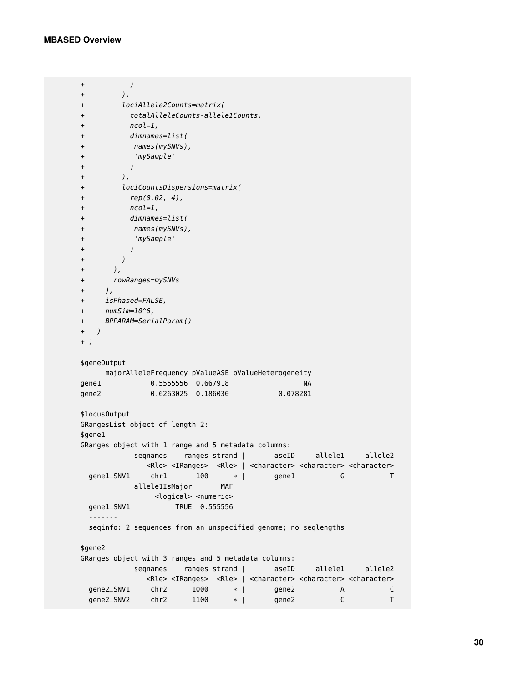```
+ )
+ ),
+ lociAllele2Counts=matrix(
+ totalAlleleCounts-allele1Counts,
+ ncol=1,
+ dimnames=list(
+ names(mySNVs),
+ 'mySample'
+ )
+ ),
+ lociCountsDispersions=matrix(
+ rep(0.02, 4),
+ ncol=1,
+ dimnames=list(
+ names(mySNVs),
+ 'mySample'
+ )
+ )
+ ),
+ rowRanges=mySNVs
+ ),
+ isPhased=FALSE,
+ numSim=10^6,
+ BPPARAM=SerialParam()
+ )
+ )
$geneOutput
    majorAlleleFrequency pValueASE pValueHeterogeneity
gene1 0.5555556 0.667918 NA
gene2 0.6263025 0.186030 0.078281
$locusOutput
GRangesList object of length 2:
$gene1
GRanges object with 1 range and 5 metadata columns:
         seqnames ranges strand | aseID allele1 allele2
           <Rle> <IRanges> <Rle> | <character> <character> <character>
 gene1_SNV1 chr1 100 * | gene1 G T
         allele1IsMajor MAF
            <logical> <numeric>
 gene1_SNV1 TRUE 0.555556
 -------
 seqinfo: 2 sequences from an unspecified genome; no seqlengths
$gene2
GRanges object with 3 ranges and 5 metadata columns:
         seqnames ranges strand | aseID allele1 allele2
           <Rle> <IRanges> <Rle> | <character> <character> <character>
 gene2_SNV1 chr2 1000 * | gene2 A C
 gene2_SNV2 chr2 1100 * | gene2 C T
```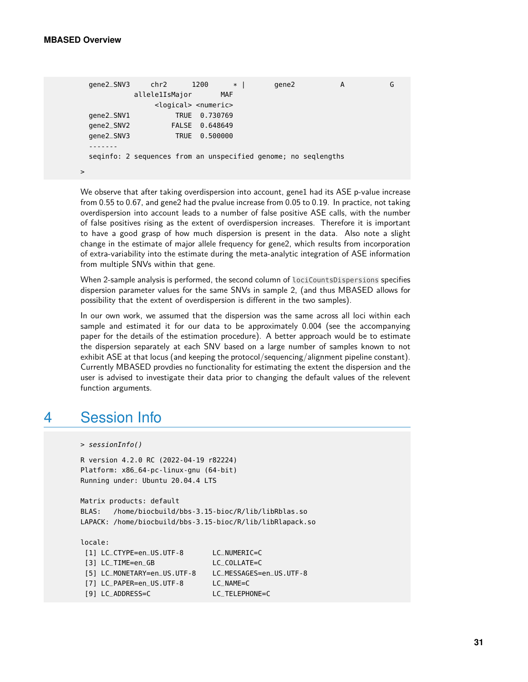>

```
gene2_SNV3 chr2 1200 * | gene2 A G
        allele1IsMajor MAF
            <logical> <numeric>
gene2_SNV1 TRUE 0.730769
gene2_SNV2 FALSE 0.648649
gene2_SNV3 TRUE 0.500000
-------
seqinfo: 2 sequences from an unspecified genome; no seqlengths
```
We observe that after taking overdispersion into account, gene1 had its ASE p-value increase from 0.55 to 0.67, and gene2 had the pvalue increase from 0.05 to 0.19. In practice, not taking overdispersion into account leads to a number of false positive ASE calls, with the number of false positives rising as the extent of overdispersion increases. Therefore it is important to have a good grasp of how much dispersion is present in the data. Also note a slight change in the estimate of major allele frequency for gene2, which results from incorporation of extra-variability into the estimate during the meta-analytic integration of ASE information from multiple SNVs within that gene.

When 2-sample analysis is performed, the second column of lociCountsDispersions specifies dispersion parameter values for the same SNVs in sample 2, (and thus MBASED allows for possibility that the extent of overdispersion is different in the two samples).

In our own work, we assumed that the dispersion was the same across all loci within each sample and estimated it for our data to be approximately 0.004 (see the accompanying paper for the details of the estimation procedure). A better approach would be to estimate the dispersion separately at each SNV based on a large number of samples known to not exhibit ASE at that locus (and keeping the protocol/sequencing/alignment pipeline constant). Currently MBASED provdies no functionality for estimating the extent the dispersion and the user is advised to investigate their data prior to changing the default values of the relevent function arguments.

# 4 Session Info

```
> sessionInfo()
```

```
R version 4.2.0 RC (2022-04-19 r82224)
Platform: x86_64-pc-linux-gnu (64-bit)
Running under: Ubuntu 20.04.4 LTS
```
Matrix products: default BLAS: /home/biocbuild/bbs-3.15-bioc/R/lib/libRblas.so LAPACK: /home/biocbuild/bbs-3.15-bioc/R/lib/libRlapack.so

```
locale:
[1] LC_CTYPE=en_US.UTF-8 LC_NUMERIC=C
[3] LC_TIME=en_GB LC_COLLATE=C
[5] LC_MONETARY=en_US.UTF-8 LC_MESSAGES=en_US.UTF-8
[7] LC_PAPER=en_US.UTF-8 LC_NAME=C
[9] LC_ADDRESS=C LC_TELEPHONE=C
```